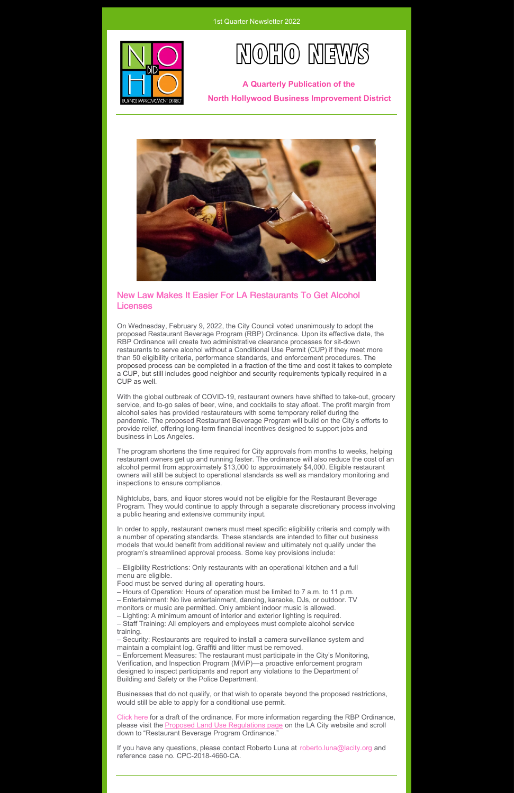



**A Quarterly Publication of the North Hollywood Business Improvement District**



## New Law Makes It Easier For LA Restaurants To Get Alcohol Licenses

On Wednesday, February 9, 2022, the City Council voted unanimously to adopt the proposed Restaurant Beverage Program (RBP) Ordinance. Upon its effective date, the RBP Ordinance will create two administrative clearance processes for sit-down restaurants to serve alcohol without a Conditional Use Permit (CUP) if they meet more than 50 eligibility criteria, performance standards, and enforcement procedures. The proposed process can be completed in a fraction of the time and cost it takes to complete a CUP, but still includes good neighbor and security requirements typically required in a CUP as well.

With the global outbreak of COVID-19, restaurant owners have shifted to take-out, grocery service, and to-go sales of beer, wine, and cocktails to stay afloat. The profit margin from alcohol sales has provided restaurateurs with some temporary relief during the pandemic. The proposed Restaurant Beverage Program will build on the City's efforts to provide relief, offering long-term financial incentives designed to support jobs and business in Los Angeles.

The program shortens the time required for City approvals from months to weeks, helping restaurant owners get up and running faster. The ordinance will also reduce the cost of an alcohol permit from approximately \$13,000 to approximately \$4,000. Eligible restaurant owners will still be subject to operational standards as well as mandatory monitoring and inspections to ensure compliance.

Nightclubs, bars, and liquor stores would not be eligible for the Restaurant Beverage Program. They would continue to apply through a separate discretionary process involving a public hearing and extensive community input.

In order to apply, restaurant owners must meet specific eligibility criteria and comply with a number of operating standards. These standards are intended to filter out business models that would benefit from additional review and ultimately not qualify under the program's streamlined approval process. Some key provisions include:

– Eligibility Restrictions: Only restaurants with an operational kitchen and a full menu are eligible.

Food must be served during all operating hours.

– Hours of Operation: Hours of operation must be limited to 7 a.m. to 11 p.m.

– Entertainment: No live entertainment, dancing, karaoke, DJs, or outdoor. TV monitors or music are permitted. Only ambient indoor music is allowed.

– Lighting: A minimum amount of interior and exterior lighting is required.

– Staff Training: All employers and employees must complete alcohol service training.

– Security: Restaurants are required to install a camera surveillance system and maintain a complaint log. Graffiti and litter must be removed.

– Enforcement Measures: The restaurant must participate in the City's Monitoring, Verification, and Inspection Program (MViP)—a proactive enforcement program designed to inspect participants and report any violations to the Department of Building and Safety or the Police Department.

Businesses that do not qualify, or that wish to operate beyond the proposed restrictions, would still be able to apply for a conditional use permit.

[Click](https://files.constantcontact.com/4bb8454a601/fe1cfb5b-3170-47a8-bcbd-77e2bf87aec2.pdf?rdr=true) here for a draft of the ordinance. For more information regarding the RBP Ordinance, please visit the Proposed Land Use [Regulations](https://planning.lacity.org/plans-policies/proposed-land-use-regulations) page on the LA City website and scroll down to "Restaurant Beverage Program Ordinance."

If you have any questions, please contact Roberto Luna at [roberto.luna@lacity.org](mailto:roberto.luna@lacity.org) and reference case no. CPC-2018-4660-CA.